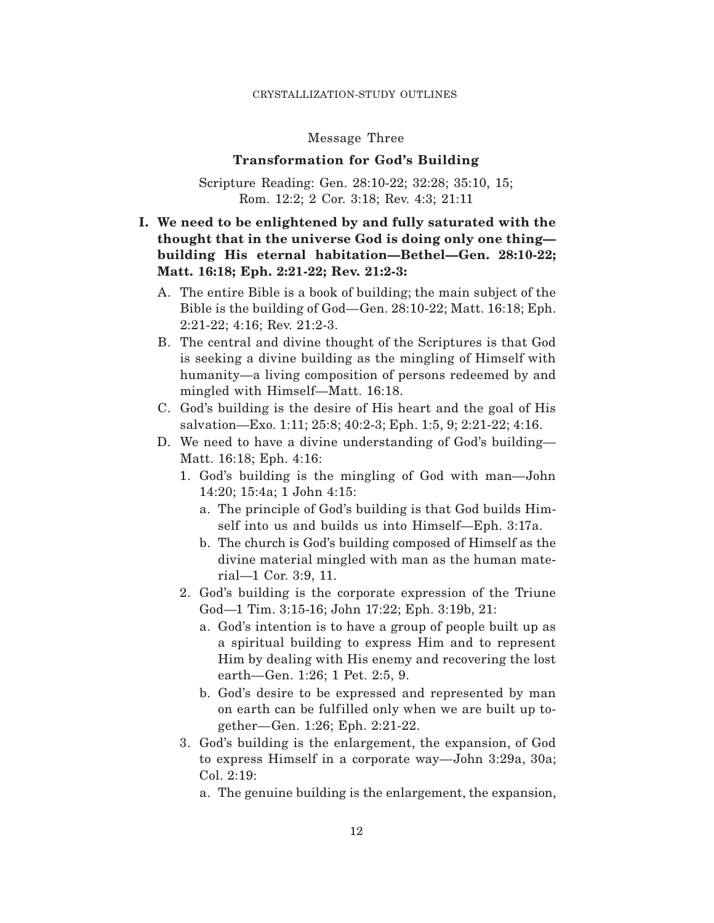### Message Three

## **Transformation for God's Building**

Scripture Reading: Gen. 28:10-22; 32:28; 35:10, 15; Rom. 12:2; 2 Cor. 3:18; Rev. 4:3; 21:11

# **I. We need to be enlightened by and fully saturated with the thought that in the universe God is doing only one thing building His eternal habitation—Bethel—Gen. 28:10-22; Matt. 16:18; Eph. 2:21-22; Rev. 21:2-3:**

- A. The entire Bible is a book of building; the main subject of the Bible is the building of God—Gen. 28:10-22; Matt. 16:18; Eph. 2:21-22; 4:16; Rev. 21:2-3.
- B. The central and divine thought of the Scriptures is that God is seeking a divine building as the mingling of Himself with humanity—a living composition of persons redeemed by and mingled with Himself—Matt. 16:18.
- C. God's building is the desire of His heart and the goal of His salvation—Exo. 1:11; 25:8; 40:2-3; Eph. 1:5, 9; 2:21-22; 4:16.
- D. We need to have a divine understanding of God's building— Matt. 16:18; Eph. 4:16:
	- 1. God's building is the mingling of God with man—John 14:20; 15:4a; 1 John 4:15:
		- a. The principle of God's building is that God builds Himself into us and builds us into Himself—Eph. 3:17a.
		- b. The church is God's building composed of Himself as the divine material mingled with man as the human material—1 Cor. 3:9, 11.
	- 2. God's building is the corporate expression of the Triune God—1 Tim. 3:15-16; John 17:22; Eph. 3:19b, 21:
		- a. God's intention is to have a group of people built up as a spiritual building to express Him and to represent Him by dealing with His enemy and recovering the lost earth—Gen. 1:26; 1 Pet. 2:5, 9.
		- b. God's desire to be expressed and represented by man on earth can be fulfilled only when we are built up together—Gen. 1:26; Eph. 2:21-22.
	- 3. God's building is the enlargement, the expansion, of God to express Himself in a corporate way—John 3:29a, 30a; Col. 2:19:
		- a. The genuine building is the enlargement, the expansion,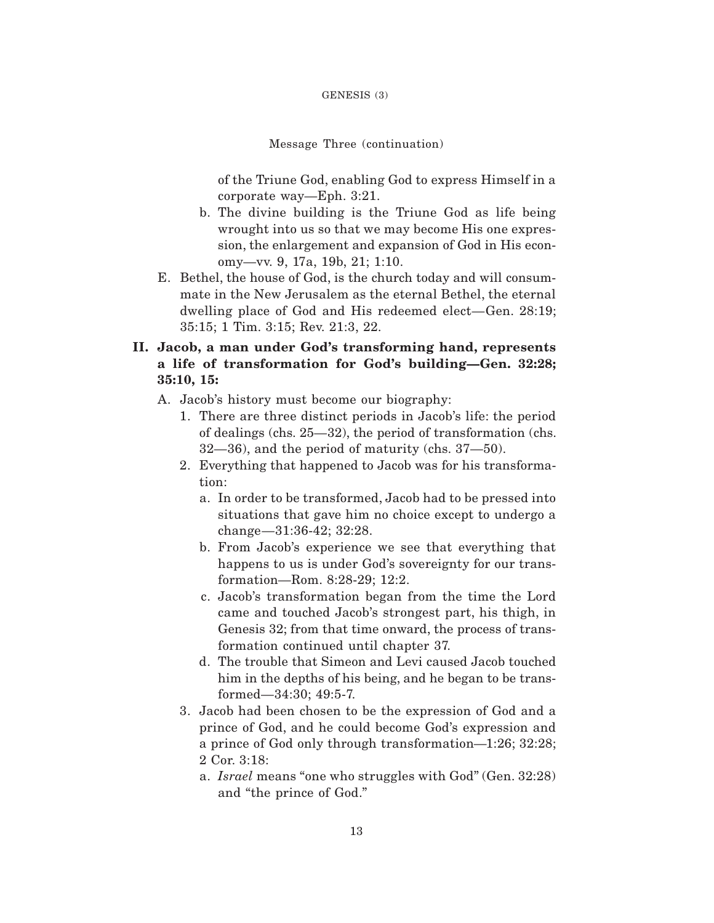Message Three (continuation)

of the Triune God, enabling God to express Himself in a corporate way—Eph. 3:21.

- b. The divine building is the Triune God as life being wrought into us so that we may become His one expression, the enlargement and expansion of God in His economy—vv. 9, 17a, 19b, 21; 1:10.
- E. Bethel, the house of God, is the church today and will consummate in the New Jerusalem as the eternal Bethel, the eternal dwelling place of God and His redeemed elect—Gen. 28:19; 35:15; 1 Tim. 3:15; Rev. 21:3, 22.
- **II. Jacob, a man under God's transforming hand, represents a life of transformation for God's building—Gen. 32:28; 35:10, 15:**
	- A. Jacob's history must become our biography:
		- 1. There are three distinct periods in Jacob's life: the period of dealings (chs. 25—32), the period of transformation (chs. 32—36), and the period of maturity (chs. 37—50).
		- 2. Everything that happened to Jacob was for his transformation:
			- a. In order to be transformed, Jacob had to be pressed into situations that gave him no choice except to undergo a change—31:36-42; 32:28.
			- b. From Jacob's experience we see that everything that happens to us is under God's sovereignty for our transformation—Rom. 8:28-29; 12:2.
			- c. Jacob's transformation began from the time the Lord came and touched Jacob's strongest part, his thigh, in Genesis 32; from that time onward, the process of transformation continued until chapter 37.
			- d. The trouble that Simeon and Levi caused Jacob touched him in the depths of his being, and he began to be transformed—34:30; 49:5-7.
		- 3. Jacob had been chosen to be the expression of God and a prince of God, and he could become God's expression and a prince of God only through transformation—1:26; 32:28; 2 Cor. 3:18:
			- a. *Israel* means "one who struggles with God" (Gen. 32:28) and "the prince of God."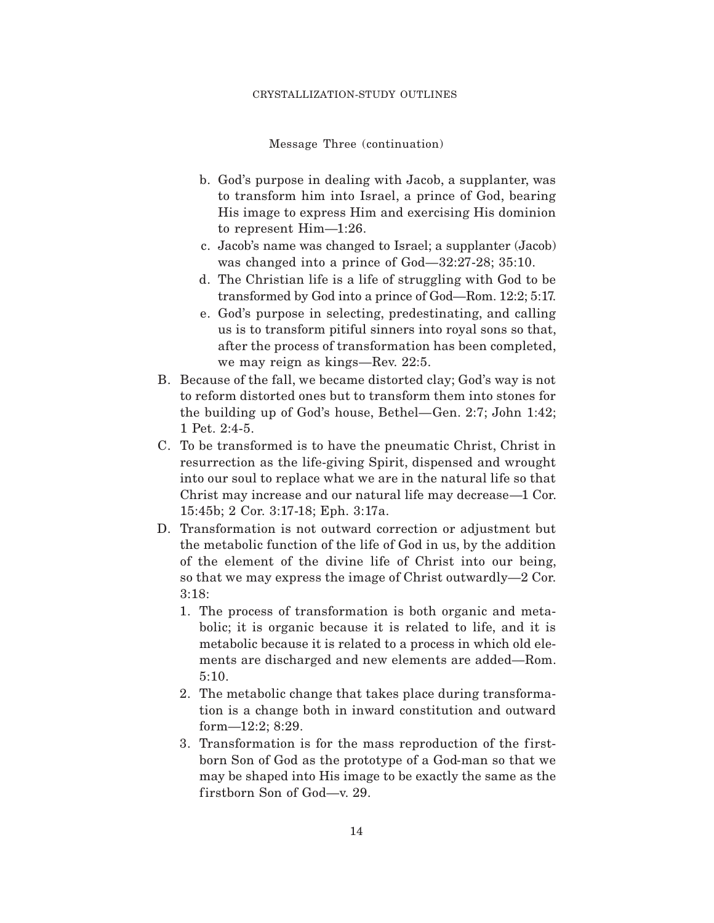### CRYSTALLIZATION-STUDY OUTLINES

Message Three (continuation)

- b. God's purpose in dealing with Jacob, a supplanter, was to transform him into Israel, a prince of God, bearing His image to express Him and exercising His dominion to represent Him—1:26.
- c. Jacob's name was changed to Israel; a supplanter (Jacob) was changed into a prince of God—32:27-28; 35:10.
- d. The Christian life is a life of struggling with God to be transformed by God into a prince of God—Rom. 12:2; 5:17.
- e. God's purpose in selecting, predestinating, and calling us is to transform pitiful sinners into royal sons so that, after the process of transformation has been completed, we may reign as kings—Rev. 22:5.
- B. Because of the fall, we became distorted clay; God's way is not to reform distorted ones but to transform them into stones for the building up of God's house, Bethel—Gen. 2:7; John 1:42; 1 Pet. 2:4-5.
- C. To be transformed is to have the pneumatic Christ, Christ in resurrection as the life-giving Spirit, dispensed and wrought into our soul to replace what we are in the natural life so that Christ may increase and our natural life may decrease—1 Cor. 15:45b; 2 Cor. 3:17-18; Eph. 3:17a.
- D. Transformation is not outward correction or adjustment but the metabolic function of the life of God in us, by the addition of the element of the divine life of Christ into our being, so that we may express the image of Christ outwardly—2 Cor. 3:18:
	- 1. The process of transformation is both organic and metabolic; it is organic because it is related to life, and it is metabolic because it is related to a process in which old elements are discharged and new elements are added—Rom. 5:10.
	- 2. The metabolic change that takes place during transformation is a change both in inward constitution and outward form—12:2; 8:29.
	- 3. Transformation is for the mass reproduction of the firstborn Son of God as the prototype of a God-man so that we may be shaped into His image to be exactly the same as the firstborn Son of God—v. 29.